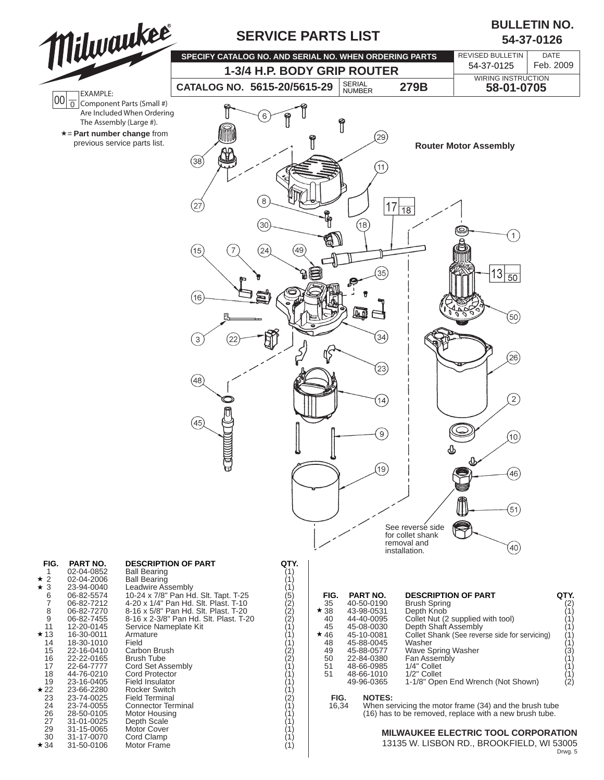

÷  $\star$ 

 $\star$ 

22

 $\star$  34

Drwg. 5

**BULLETIN NO.**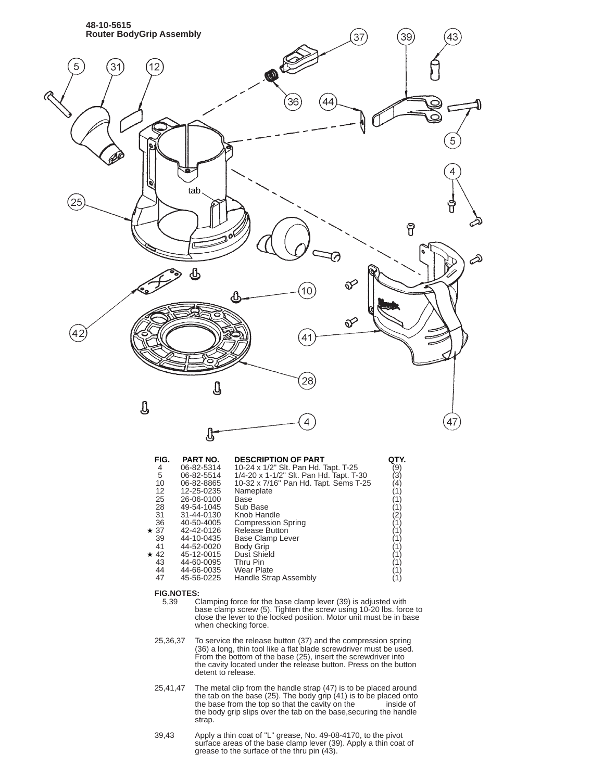

|            | <u>UU UL UU IT</u> |                                         |                        |
|------------|--------------------|-----------------------------------------|------------------------|
| 5          | 06-82-5514         | 1/4-20 x 1-1/2" Slt. Pan Hd. Tapt. T-30 | $\breve{3}$            |
| 10         | 06-82-8865         | 10-32 x 7/16" Pan Hd. Tapt. Sems T-25   | $\left 4\right\rangle$ |
| 12         | 12-25-0235         | Nameplate                               |                        |
| 25         | 26-06-0100         | Base                                    |                        |
| 28         | 49-54-1045         | Sub Base                                |                        |
| 31         | 31-44-0130         | Knob Handle                             | $\binom{2}{1}$         |
| 36         | 40-50-4005         | <b>Compression Spring</b>               |                        |
| $\star$ 37 | 42-42-0126         | Release Button                          |                        |
| 39         | 44-10-0435         | <b>Base Clamp Lever</b>                 |                        |
| 41         | 44-52-0020         | <b>Body Grip</b>                        |                        |
| $\star$ 42 | 45-12-0015         | Dust Shield                             |                        |
| 43         | 44-60-0095         | Thru Pin                                |                        |
| 44         | 44-66-0035         | Wear Plate                              |                        |
| 47         | 45-56-0225         | Handle Strap Assembly                   |                        |
|            |                    |                                         |                        |

## **FIG.NOTES:**<br>5,39 C

- 5,39 Clamping force for the base clamp lever (39) is adjusted with base clamp screw (5). Tighten the screw using 10-20 lbs. force to close the lever to the locked position. Motor unit must be in base when checking force.
- 25,36,37 To service the release button (37) and the compression spring (36) a long, thin tool like a flat blade screwdriver must be used. From the bottom of the base (25), insert the screwdriver into the cavity located under the release button. Press on the button detent to release.
- 25,41,47 25,41,47 The metal clip from the handle strap (47) is to be placed around the tab on the base (25). The body grip (41) is to be placed onto the base from the top so that the cavity on the inside of the body grip slips over the tab on the base,securing the handle strap.
- 39,43 Apply a thin coat of "L" grease, No. 49-08-4170, to the pivot surface areas of the base clamp lever (39). Apply a thin coat of grease to the surface of the thru pin (43).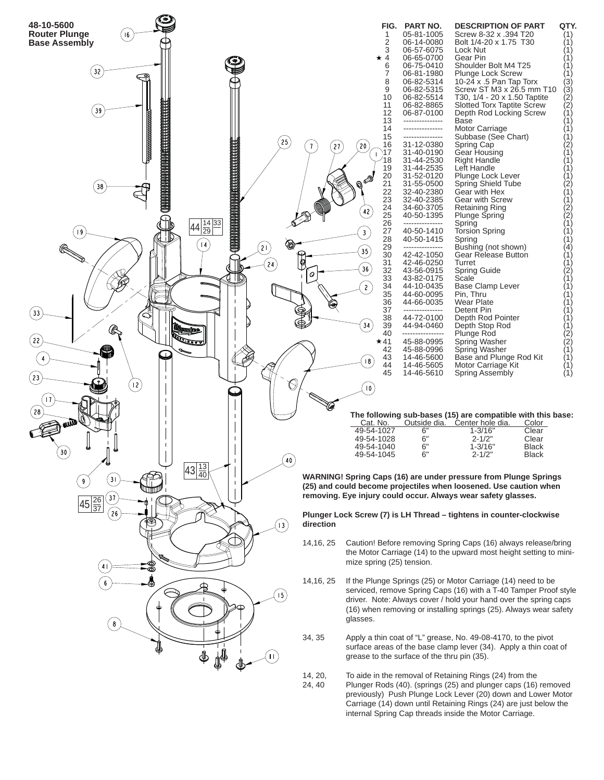

previously) Push Plunge Lock Lever (20) down and Lower Motor Carriage (14) down until Retaining Rings (24) are just below the internal Spring Cap threads inside the Motor Carriage.